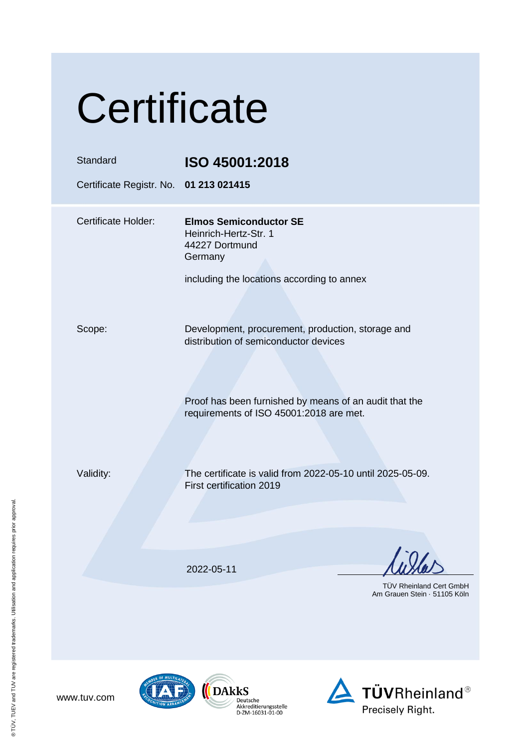| Certificate                                        |                                                                                                                                                                                                 |  |
|----------------------------------------------------|-------------------------------------------------------------------------------------------------------------------------------------------------------------------------------------------------|--|
| Standard<br>Certificate Registr. No. 01 213 021415 | ISO 45001:2018                                                                                                                                                                                  |  |
| <b>Certificate Holder:</b>                         | <b>Elmos Semiconductor SE</b><br>Heinrich-Hertz-Str. 1<br>44227 Dortmund<br>Germany<br>including the locations according to annex                                                               |  |
| Scope:                                             | Development, procurement, production, storage and<br>distribution of semiconductor devices<br>Proof has been furnished by means of an audit that the<br>requirements of ISO 45001:2018 are met. |  |
| Validity:                                          | The certificate is valid from 2022-05-10 until 2025-05-09.<br>First certification 2019                                                                                                          |  |
|                                                    | 2022-05-11<br><b>TÜV Rheinland Cert GmbH</b><br>Am Grauen Stein · 51105 Köln                                                                                                                    |  |
|                                                    |                                                                                                                                                                                                 |  |







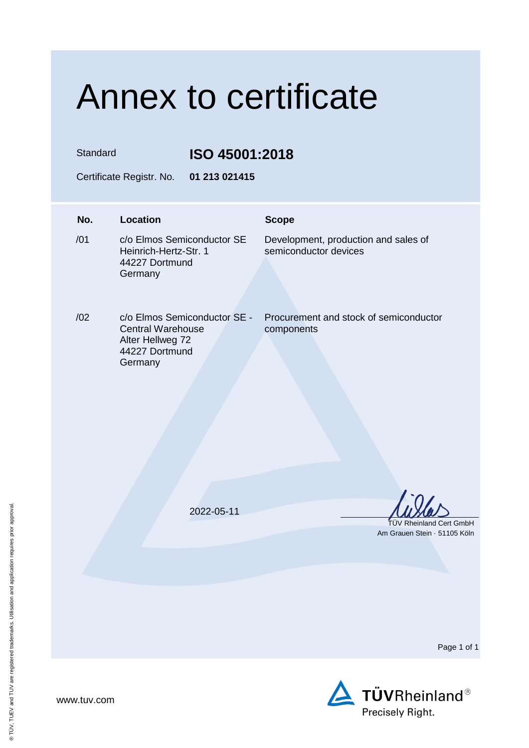## Annex to certificate

Standard **ISO 45001:2018**

Certificate Registr. No. **01 213 021415**

## **No. Location Scope**  $/01$ c/o Elmos Semiconductor SE Heinrich-Hertz-Str. 1 44227 Dortmund Germany Development, production and sales of semiconductor devices /02 c/o Elmos Semiconductor SE - Central Warehouse Alter Hellweg 72 44227 Dortmund **Germany** Procurement and stock of semiconductor components 2022-05-11 TÜV Rheinland Cert GmbH Am Grauen Stein · 51105 Köln

Page 1 of 1



www.tuv.com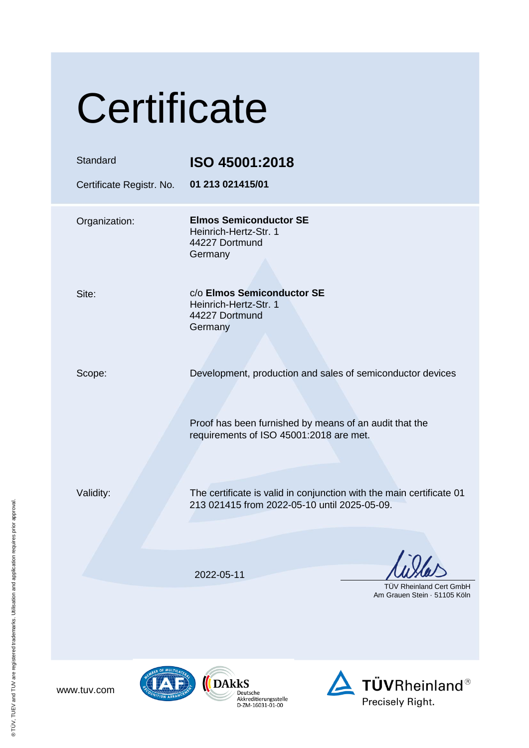| Certificate                          |                                                                                                                                                                 |  |
|--------------------------------------|-----------------------------------------------------------------------------------------------------------------------------------------------------------------|--|
| Standard<br>Certificate Registr. No. | ISO 45001:2018<br>01 213 021415/01                                                                                                                              |  |
| Organization:                        | <b>Elmos Semiconductor SE</b><br>Heinrich-Hertz-Str. 1<br>44227 Dortmund<br>Germany                                                                             |  |
| Site:                                | c/o Elmos Semiconductor SE<br>Heinrich-Hertz-Str. 1<br>44227 Dortmund<br>Germany                                                                                |  |
| Scope:                               | Development, production and sales of semiconductor devices<br>Proof has been furnished by means of an audit that the<br>requirements of ISO 45001:2018 are met. |  |
| Validity:                            | The certificate is valid in conjunction with the main certificate 01<br>213 021415 from 2022-05-10 until 2025-05-09.                                            |  |
|                                      | 2022-05-11<br><b>TUV Rheinland Cert GmbH</b><br>Am Grauen Stein 51105 Köln                                                                                      |  |
|                                      |                                                                                                                                                                 |  |





 $\bigotimes_{\substack{\text{Deutsche}\\ \text{Akkediterungsstelle}\\ \text{D-ZM-16031-01-00}}}\overline{\text{DAkks}}$